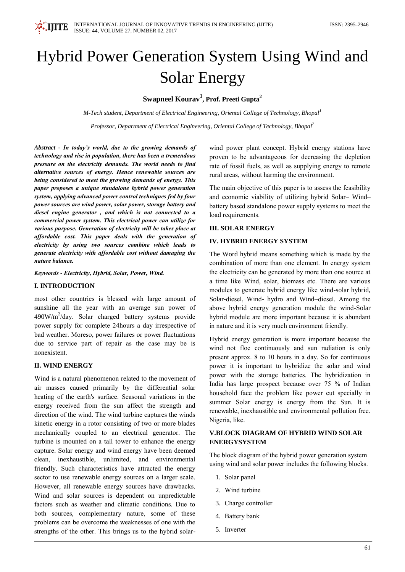

# Hybrid Power Generation System Using Wind and **Solar Energy**

Swapneel Kourav<sup>1</sup>, Prof. Preeti Gupta<sup>2</sup>

M-Tech student, Department of Electrical Engineering, Oriental College of Technology, Bhopal<sup>1</sup>

Professor, Department of Electrical Engineering, Oriental College of Technology, Bhopal<sup>2</sup>

Abstract - In today's world, due to the growing demands of technology and rise in population, there has been a tremendous pressure on the electricity demands. The world needs to find alternative sources of energy. Hence renewable sources are being considered to meet the growing demands of energy. This paper proposes a unique standalone hybrid power generation system, applying advanced power control techniques fed by four power sources are wind power, solar power, storage battery and diesel engine generator, and which is not connected to a commercial power system. This electrical power can utilize for various purpose. Generation of electricity will be takes place at affordable cost. This paper deals with the generation of electricity by using two sources combine which leads to generate electricity with affordable cost without damaging the nature balance.

Keywords - Electricity, Hybrid, Solar, Power, Wind.

## **I. INTRODUCTION**

most other countries is blessed with large amount of sunshine all the year with an average sun power of  $490W/m<sup>2</sup>/day$ . Solar charged battery systems provide power supply for complete 24 hours a day irrespective of bad weather. Moreso, power failures or power fluctuations due to service part of repair as the case may be is nonexistent.

# **II. WIND ENERGY**

Wind is a natural phenomenon related to the movement of air masses caused primarily by the differential solar heating of the earth's surface. Seasonal variations in the energy received from the sun affect the strength and direction of the wind. The wind turbine captures the winds kinetic energy in a rotor consisting of two or more blades mechanically coupled to an electrical generator. The turbine is mounted on a tall tower to enhance the energy capture. Solar energy and wind energy have been deemed clean. inexhaustible, unlimited, and environmental friendly. Such characteristics have attracted the energy sector to use renewable energy sources on a larger scale. However, all renewable energy sources have drawbacks. Wind and solar sources is dependent on unpredictable factors such as weather and climatic conditions. Due to both sources, complementary nature, some of these problems can be overcome the weaknesses of one with the strengths of the other. This brings us to the hybrid solarwind power plant concept. Hybrid energy stations have proven to be advantageous for decreasing the depletion rate of fossil fuels, as well as supplying energy to remote rural areas, without harming the environment.

The main objective of this paper is to assess the feasibility and economic viability of utilizing hybrid Solar-Windbattery based standalone power supply systems to meet the load requirements.

#### **III. SOLAR ENERGY**

# **IV. HYBRID ENERGY SYSTEM**

The Word hybrid means something which is made by the combination of more than one element. In energy system the electricity can be generated by more than one source at a time like Wind, solar, biomass etc. There are various modules to generate hybrid energy like wind-solar hybrid, Solar-diesel, Wind- hydro and Wind-diesel. Among the above hybrid energy generation module the wind-Solar hybrid module are more important because it is abundant in nature and it is very much environment friendly.

Hybrid energy generation is more important because the wind not floe continuously and sun radiation is only present approx. 8 to 10 hours in a day. So for continuous power it is important to hybridize the solar and wind power with the storage batteries. The hybridization in India has large prospect because over 75 % of Indian household face the problem like power cut specially in summer Solar energy is energy from the Sun. It is renewable, inexhaustible and environmental pollution free. Nigeria, like.

### **V.BLOCK DIAGRAM OF HYBRID WIND SOLAR ENERGYSYSTEM**

The block diagram of the hybrid power generation system using wind and solar power includes the following blocks.

- 1. Solar panel
- 2. Wind turbine
- 3. Charge controller
- 4. Battery bank
- 5. Inverter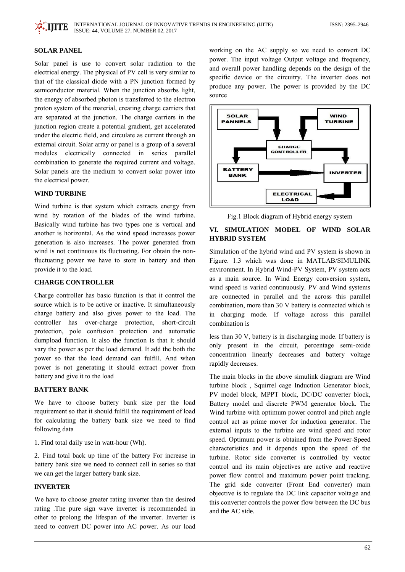#### **SOLAR PANEL**

Solar panel is use to convert solar radiation to the electrical energy. The physical of PV cell is very similar to that of the classical diode with a PN junction formed by semiconductor material. When the junction absorbs light, the energy of absorbed photon is transferred to the electron proton system of the material, creating charge carriers that are separated at the junction. The charge carriers in the junction region create a potential gradient, get accelerated under the electric field, and circulate as current through an external circuit. Solar array or panel is a group of a several modules electrically connected in series parallel combination to generate the required current and voltage. Solar panels are the medium to convert solar power into the electrical power.

#### **WIND TURBINE**

Wind turbine is that system which extracts energy from wind by rotation of the blades of the wind turbine. Basically wind turbine has two types one is vertical and another is horizontal. As the wind speed increases power generation is also increases. The power generated from wind is not continuous its fluctuating. For obtain the nonfluctuating power we have to store in battery and then provide it to the load.

## **CHARGE CONTROLLER**

Charge controller has basic function is that it control the source which is to be active or inactive. It simultaneously charge battery and also gives power to the load. The controller has over-charge protection, short-circuit protection, pole confusion protection and automatic dumpload function. It also the function is that it should vary the power as per the load demand. It add the both the power so that the load demand can fulfill. And when power is not generating it should extract power from battery and give it to the load

## **BATTERY BANK**

We have to choose battery bank size per the load requirement so that it should fulfill the requirement of load for calculating the battery bank size we need to find following data

1. Find total daily use in watt-hour (Wh).

2. Find total back up time of the battery For increase in battery bank size we need to connect cell in series so that we can get the larger battery bank size.

#### **INVERTER**

We have to choose greater rating inverter than the desired rating. The pure sign wave inverter is recommended in other to prolong the lifespan of the inverter. Inverter is need to convert DC power into AC power. As our load working on the AC supply so we need to convert DC power. The input voltage Output voltage and frequency, and overall power handling depends on the design of the specific device or the circuitry. The inverter does not produce any power. The power is provided by the DC source



Fig.1 Block diagram of Hybrid energy system

# VI. SIMULATION MODEL OF WIND SOLAR **HYBRID SYSTEM**

Simulation of the hybrid wind and PV system is shown in Figure. 1.3 which was done in MATLAB/SIMULINK environment. In Hybrid Wind-PV System, PV system acts as a main source. In Wind Energy conversion system, wind speed is varied continuously. PV and Wind systems are connected in parallel and the across this parallel combination, more than 30 V battery is connected which is in charging mode. If voltage across this parallel combination is

less than 30 V, battery is in discharging mode. If battery is only present in the circuit, percentage semi-oxide concentration linearly decreases and battery voltage rapidly decreases.

The main blocks in the above simulink diagram are Wind turbine block, Squirrel cage Induction Generator block, PV model block, MPPT block, DC/DC converter block, Battery model and discrete PWM generator block. The Wind turbine with optimum power control and pitch angle control act as prime mover for induction generator. The external inputs to the turbine are wind speed and rotor speed. Optimum power is obtained from the Power-Speed characteristics and it depends upon the speed of the turbine. Rotor side converter is controlled by vector control and its main objectives are active and reactive power flow control and maximum power point tracking. The grid side converter (Front End converter) main objective is to regulate the DC link capacitor voltage and this converter controls the power flow between the DC bus and the AC side.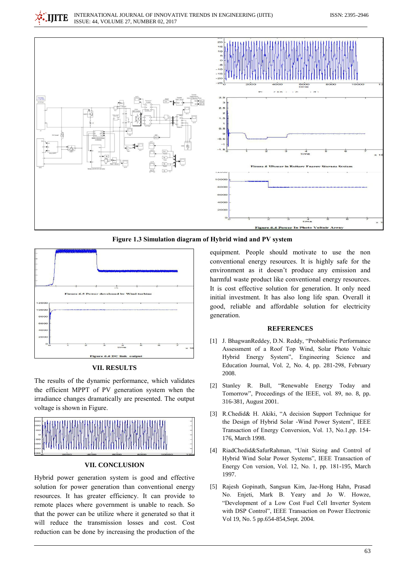

Figure 1.3 Simulation diagram of Hybrid wind and PV system



**VII. RESULTS** 

The results of the dynamic performance, which validates the efficient MPPT of PV generation system when the irradiance changes dramatically are presented. The output voltage is shown in Figure.



# **VII. CONCLUSION**

Hybrid power generation system is good and effective solution for power generation than conventional energy resources. It has greater efficiency. It can provide to remote places where government is unable to reach. So that the power can be utilize where it generated so that it will reduce the transmission losses and cost. Cost reduction can be done by increasing the production of the

equipment. People should motivate to use the non conventional energy resources. It is highly safe for the environment as it doesn't produce any emission and harmful waste product like conventional energy resources. It is cost effective solution for generation. It only need initial investment. It has also long life span. Overall it good, reliable and affordable solution for electricity generation.

#### **REFERENCES**

- [1] J. BhagwanReddey, D.N. Reddy, "Probablistic Performance Assessment of a Roof Top Wind. Solar Photo Voltaic Hybrid Energy System", Engineering Science and Education Journal, Vol. 2, No. 4, pp. 281-298, February 2008.
- [2] Stanley R. Bull, "Renewable Energy Today and Tomorrow", Proceedings of the IEEE, vol. 89, no. 8, pp. 316-381, August 2001.
- [3] R.Chedid& H. Akiki, "A decision Support Technique for the Design of Hybrid Solar -Wind Power System". IEEE Transaction of Energy Conversion, Vol. 13, No.1,pp. 154-176, March 1998.
- [4] RiadChedid&SafurRahman, "Unit Sizing and Control of Hybrid Wind Solar Power Systems", IEEE Transaction of Energy Con version, Vol. 12, No. 1, pp. 181-195, March 1997.
- [5] Rajesh Gopinath, Sangsun Kim, Jae-Hong Hahn, Prasad No. Enjeti, Mark B. Yeary and Jo W. Howze, "Development of a Low Cost Fuel Cell Inverter System with DSP Control", IEEE Transaction on Power Electronic Vol 19, No. 5 pp.654-854, Sept. 2004.